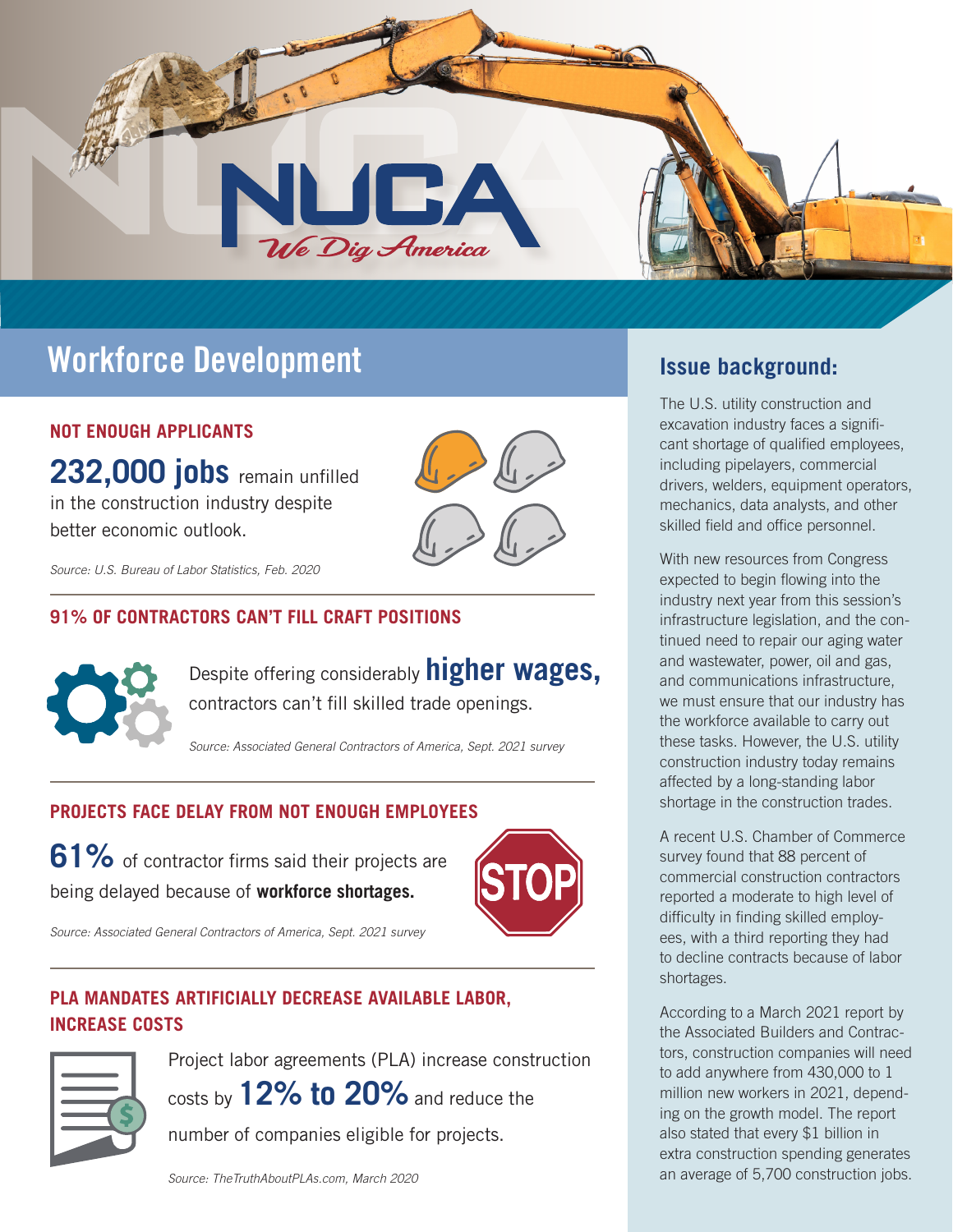

# **Workforce Development Issue background:**

### **NOT ENOUGH APPLICANTS**

**232,000 jobs** remain unfilled in the construction industry despite better economic outlook.



*Source: U.S. Bureau of Labor Statistics, Feb. 2020*

### **91% OF CONTRACTORS CAN'T FILL CRAFT POSITIONS**



Despite offering considerably **higher wages,** contractors can't fill skilled trade openings.

*Source: Associated General Contractors of America, Sept. 2021 survey*

### **PROJECTS FACE DELAY FROM NOT ENOUGH EMPLOYEES**

**61%** of contractor firms said their projects are being delayed because of **workforce shortages.**



*Source: Associated General Contractors of America, Sept. 2021 survey*

### **PLA MANDATES ARTIFICIALLY DECREASE AVAILABLE LABOR, INCREASE COSTS**



Project labor agreements (PLA) increase construction costs by **12% to 20%** and reduce the

number of companies eligible for projects.

The U.S. utility construction and excavation industry faces a significant shortage of qualified employees, including pipelayers, commercial drivers, welders, equipment operators, mechanics, data analysts, and other skilled field and office personnel.

With new resources from Congress expected to begin flowing into the industry next year from this session's infrastructure legislation, and the continued need to repair our aging water and wastewater, power, oil and gas, and communications infrastructure, we must ensure that our industry has the workforce available to carry out these tasks. However, the U.S. utility construction industry today remains affected by a long-standing labor shortage in the construction trades.

A recent U.S. Chamber of Commerce survey found that 88 percent of commercial construction contractors reported a moderate to high level of difficulty in finding skilled employees, with a third reporting they had to decline contracts because of labor shortages.

According to a March 2021 report by the Associated Builders and Contractors, construction companies will need to add anywhere from 430,000 to 1 million new workers in 2021, depending on the growth model. The report also stated that every \$1 billion in extra construction spending generates an average of 5,700 construction jobs.